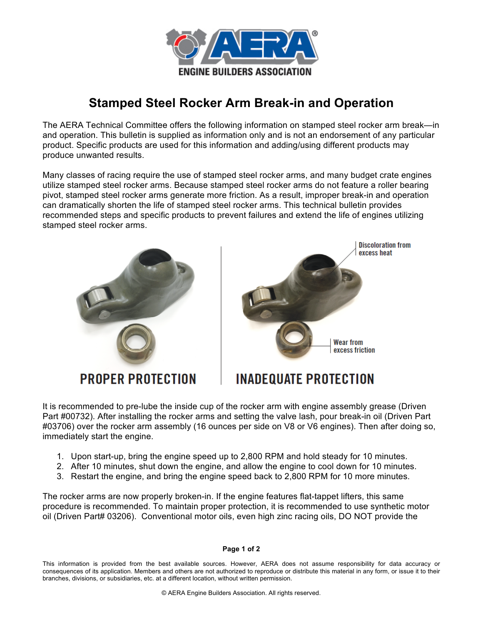

## **Stamped Steel Rocker Arm Break-in and Operation**

The AERA Technical Committee offers the following information on stamped steel rocker arm break—in and operation. This bulletin is supplied as information only and is not an endorsement of any particular product. Specific products are used for this information and adding/using different products may produce unwanted results.

Many classes of racing require the use of stamped steel rocker arms, and many budget crate engines utilize stamped steel rocker arms. Because stamped steel rocker arms do not feature a roller bearing pivot, stamped steel rocker arms generate more friction. As a result, improper break-in and operation can dramatically shorten the life of stamped steel rocker arms. This technical bulletin provides recommended steps and specific products to prevent failures and extend the life of engines utilizing stamped steel rocker arms.





**INADEQUATE PROTECTION** 

It is recommended to pre-lube the inside cup of the rocker arm with engine assembly grease (Driven Part #00732). After installing the rocker arms and setting the valve lash, pour break-in oil (Driven Part #03706) over the rocker arm assembly (16 ounces per side on V8 or V6 engines). Then after doing so, immediately start the engine.

- 1. Upon start-up, bring the engine speed up to 2,800 RPM and hold steady for 10 minutes.
- 2. After 10 minutes, shut down the engine, and allow the engine to cool down for 10 minutes.
- 3. Restart the engine, and bring the engine speed back to 2,800 RPM for 10 more minutes.

The rocker arms are now properly broken-in. If the engine features flat-tappet lifters, this same procedure is recommended. To maintain proper protection, it is recommended to use synthetic motor oil (Driven Part# 03206). Conventional motor oils, even high zinc racing oils, DO NOT provide the

## **Page 1 of 2**

This information is provided from the best available sources. However, AERA does not assume responsibility for data accuracy or consequences of its application. Members and others are not authorized to reproduce or distribute this material in any form, or issue it to their branches, divisions, or subsidiaries, etc. at a different location, without written permission.